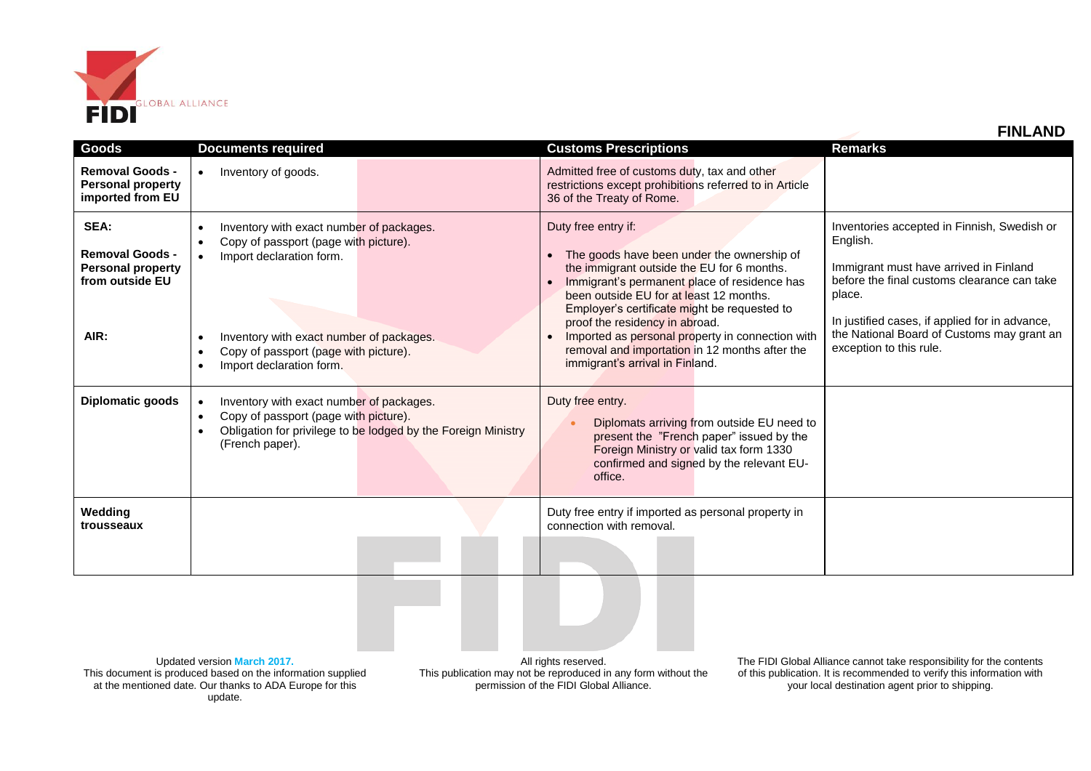

| <b>Removal Goods -</b><br><b>Personal property</b><br>imported from EU                | Inventory of goods.                                                                                                                                                                                                            | Admitted free of customs duty, tax and other<br>restrictions except prohibitions referred to in Article<br>36 of the Treaty of Rome.                                                                                                                                                                                                                                                                                                  |                                                                                                                                                                                                                                                                                       |
|---------------------------------------------------------------------------------------|--------------------------------------------------------------------------------------------------------------------------------------------------------------------------------------------------------------------------------|---------------------------------------------------------------------------------------------------------------------------------------------------------------------------------------------------------------------------------------------------------------------------------------------------------------------------------------------------------------------------------------------------------------------------------------|---------------------------------------------------------------------------------------------------------------------------------------------------------------------------------------------------------------------------------------------------------------------------------------|
| SEA:<br><b>Removal Goods -</b><br><b>Personal property</b><br>from outside EU<br>AIR: | Inventory with exact number of packages.<br>Copy of passport (page with picture).<br>Import declaration form.<br>Inventory with exact number of packages.<br>Copy of passport (page with picture).<br>Import declaration form. | Duty free entry if:<br>The goods have been under the ownership of<br>the immigrant outside the EU for 6 months.<br>Immigrant's permanent place of residence has<br>been outside EU for at least 12 months.<br>Employer's certificate might be requested to<br>proof the residency in abroad.<br>Imported as personal property in connection with<br>removal and importation in 12 months after the<br>immigrant's arrival in Finland. | Inventories accepted in Finnish, Swedish or<br>English.<br>Immigrant must have arrived in Finland<br>before the final customs clearance can take<br>place.<br>In justified cases, if applied for in advance,<br>the National Board of Customs may grant an<br>exception to this rule. |
| <b>Diplomatic goods</b>                                                               | Inventory with exact number of packages.<br>Copy of passport (page with picture).<br>Obligation for privilege to be lodged by the Foreign Ministry<br>(French paper).                                                          | Duty free entry.<br>Diplomats arriving from outside EU need to<br>present the "French paper" issued by the<br>Foreign Ministry or valid tax form 1330<br>confirmed and signed by the relevant EU-<br>office.                                                                                                                                                                                                                          |                                                                                                                                                                                                                                                                                       |
| Wedding<br>trousseaux                                                                 |                                                                                                                                                                                                                                | Duty free entry if imported as personal property in<br>connection with removal.                                                                                                                                                                                                                                                                                                                                                       |                                                                                                                                                                                                                                                                                       |

**Goods Documents required Customs Prescriptions Remarks**

Updated version **March 2017.** This document is produced based on the information supplied at the mentioned date. Our thanks to ADA Europe for this update.

All rights reserved. This publication may not be reproduced in any form without the permission of the FIDI Global Alliance.

The FIDI Global Alliance cannot take responsibility for the contents of this publication. It is recommended to verify this information with your local destination agent prior to shipping.

 **FINLAND**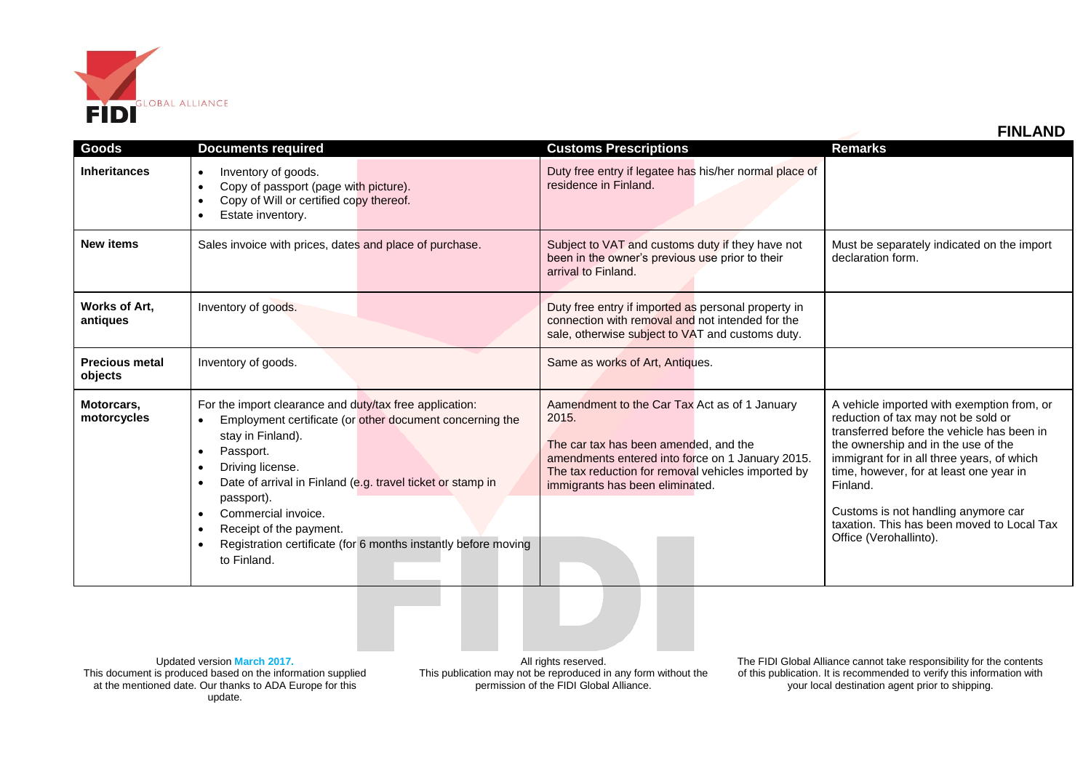

|                                  |                                                                                                                                                                                                                                                                                                                                                                                                                                                                                     |                                                                                                                                                                                                                                              | <u>LUJLAND</u>                                                                                                                                                                                                                                                                                                                                                                             |
|----------------------------------|-------------------------------------------------------------------------------------------------------------------------------------------------------------------------------------------------------------------------------------------------------------------------------------------------------------------------------------------------------------------------------------------------------------------------------------------------------------------------------------|----------------------------------------------------------------------------------------------------------------------------------------------------------------------------------------------------------------------------------------------|--------------------------------------------------------------------------------------------------------------------------------------------------------------------------------------------------------------------------------------------------------------------------------------------------------------------------------------------------------------------------------------------|
| Goods                            | <b>Documents required</b>                                                                                                                                                                                                                                                                                                                                                                                                                                                           | <b>Customs Prescriptions</b>                                                                                                                                                                                                                 | <b>Remarks</b>                                                                                                                                                                                                                                                                                                                                                                             |
| <b>Inheritances</b>              | Inventory of goods.<br>$\bullet$<br>Copy of passport (page with picture).<br>$\bullet$<br>Copy of Will or certified copy thereof.<br>$\bullet$<br>Estate inventory.<br>$\bullet$                                                                                                                                                                                                                                                                                                    | Duty free entry if legatee has his/her normal place of<br>residence in Finland.                                                                                                                                                              |                                                                                                                                                                                                                                                                                                                                                                                            |
| <b>New items</b>                 | Sales invoice with prices, dates and place of purchase.                                                                                                                                                                                                                                                                                                                                                                                                                             | Subject to VAT and customs duty if they have not<br>been in the owner's previous use prior to their<br>arrival to Finland.                                                                                                                   | Must be separately indicated on the import<br>declaration form.                                                                                                                                                                                                                                                                                                                            |
| Works of Art.<br>antiques        | Inventory of goods.                                                                                                                                                                                                                                                                                                                                                                                                                                                                 | Duty free entry if imported as personal property in<br>connection with removal and not intended for the<br>sale, otherwise subject to VAT and customs duty.                                                                                  |                                                                                                                                                                                                                                                                                                                                                                                            |
| <b>Precious metal</b><br>objects | Inventory of goods.                                                                                                                                                                                                                                                                                                                                                                                                                                                                 | Same as works of Art, Antiques.                                                                                                                                                                                                              |                                                                                                                                                                                                                                                                                                                                                                                            |
| Motorcars,<br>motorcycles        | For the import clearance and duty/tax free application:<br>Employment certificate (or other document concerning the<br>$\bullet$<br>stay in Finland).<br>Passport.<br>$\bullet$<br>Driving license.<br>$\bullet$<br>Date of arrival in Finland (e.g. travel ticket or stamp in<br>$\bullet$<br>passport).<br>Commercial invoice.<br>$\bullet$<br>Receipt of the payment.<br>$\bullet$<br>Registration certificate (for 6 months instantly before moving<br>$\bullet$<br>to Finland. | Aamendment to the Car Tax Act as of 1 January<br>2015.<br>The car tax has been amended, and the<br>amendments entered into force on 1 January 2015.<br>The tax reduction for removal vehicles imported by<br>immigrants has been eliminated. | A vehicle imported with exemption from, or<br>reduction of tax may not be sold or<br>transferred before the vehicle has been in<br>the ownership and in the use of the<br>immigrant for in all three years, of which<br>time, however, for at least one year in<br>Finland.<br>Customs is not handling anymore car<br>taxation. This has been moved to Local Tax<br>Office (Verohallinto). |

Updated version **March 2017.** This document is produced based on the information supplied at the mentioned date. Our thanks to ADA Europe for this update.

All rights reserved. This publication may not be reproduced in any form without the permission of the FIDI Global Alliance.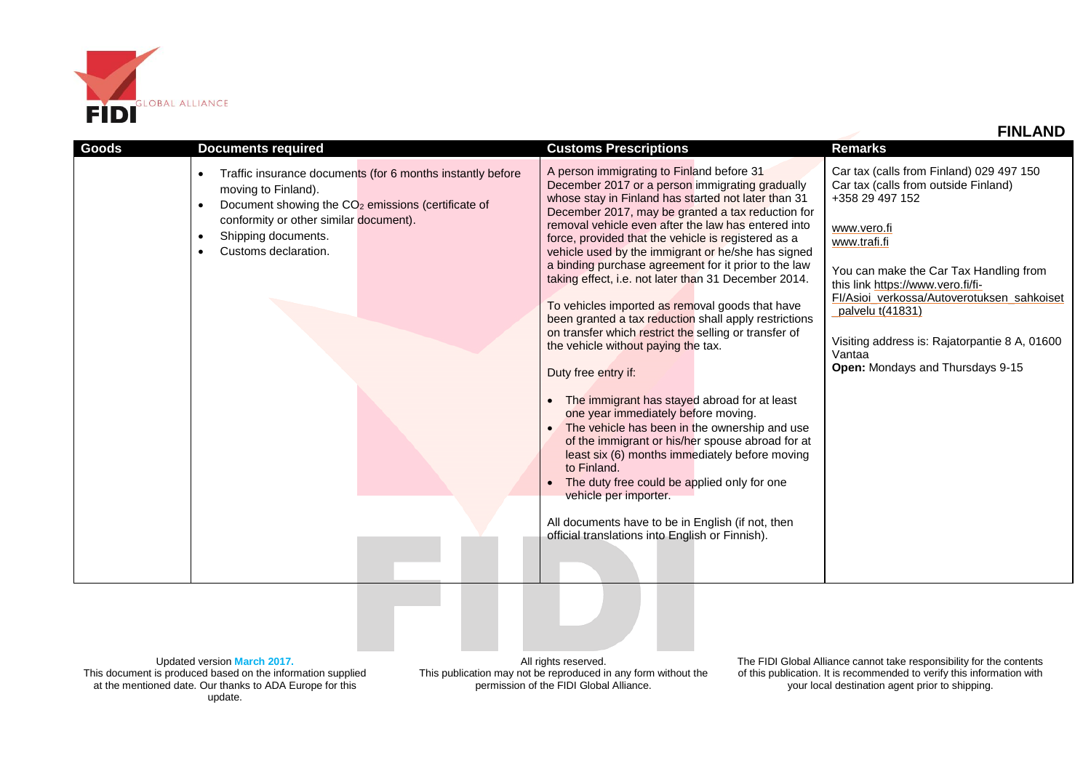

| Goods | <b>Documents required</b>                                                                                                                                                                                                                                                           | <b>Customs Prescriptions</b>                                                                                                                                                                                                                                                                                                                                                                                                                                                                                                                                                                                                                                                                                                                                                                                                                                                                                                                                                                                                                                                                                                                                                 | <b>FINLAND</b><br><b>Remarks</b>                                                                                                                                                                                                                                                                                                                                                    |
|-------|-------------------------------------------------------------------------------------------------------------------------------------------------------------------------------------------------------------------------------------------------------------------------------------|------------------------------------------------------------------------------------------------------------------------------------------------------------------------------------------------------------------------------------------------------------------------------------------------------------------------------------------------------------------------------------------------------------------------------------------------------------------------------------------------------------------------------------------------------------------------------------------------------------------------------------------------------------------------------------------------------------------------------------------------------------------------------------------------------------------------------------------------------------------------------------------------------------------------------------------------------------------------------------------------------------------------------------------------------------------------------------------------------------------------------------------------------------------------------|-------------------------------------------------------------------------------------------------------------------------------------------------------------------------------------------------------------------------------------------------------------------------------------------------------------------------------------------------------------------------------------|
|       | Traffic insurance documents (for 6 months instantly before<br>$\bullet$<br>moving to Finland).<br>Document showing the CO <sub>2</sub> emissions (certificate of<br>conformity or other similar document).<br>Shipping documents.<br>$\bullet$<br>Customs declaration.<br>$\bullet$ | A person immigrating to Finland before 31<br>December 2017 or a person immigrating gradually<br>whose stay in Finland has started not later than 31<br>December 2017, may be granted a tax reduction for<br>removal vehicle even after the law has entered into<br>force, provided that the vehicle is registered as a<br>vehicle used by the immigrant or he/she has signed<br>a binding purchase agreement for it prior to the law<br>taking effect, i.e. not later than 31 December 2014.<br>To vehicles imported as removal goods that have<br>been granted a tax reduction shall apply restrictions<br>on transfer which restrict the selling or transfer of<br>the vehicle without paying the tax.<br>Duty free entry if:<br>The immigrant has stayed abroad for at least<br>one year immediately before moving.<br>The vehicle has been in the ownership and use<br>of the immigrant or his/her spouse abroad for at<br>least six (6) months immediately before moving<br>to Finland.<br>The duty free could be applied only for one<br>vehicle per importer.<br>All documents have to be in English (if not, then<br>official translations into English or Finnish). | Car tax (calls from Finland) 029 497 150<br>Car tax (calls from outside Finland)<br>+358 29 497 152<br>www.vero.fi<br>www.trafi.fi<br>You can make the Car Tax Handling from<br>this link https://www.vero.fi/fi-<br>Fl/Asioi_verkossa/Autoverotuksen_sahkoiset<br>_palvelu t(41831)<br>Visiting address is: Rajatorpantie 8 A, 01600<br>Vantaa<br>Open: Mondays and Thursdays 9-15 |

Updated version **March 2017.** This document is produced based on the information supplied at the mentioned date. Our thanks to ADA Europe for this update.

All rights reserved. This publication may not be reproduced in any form without the permission of the FIDI Global Alliance.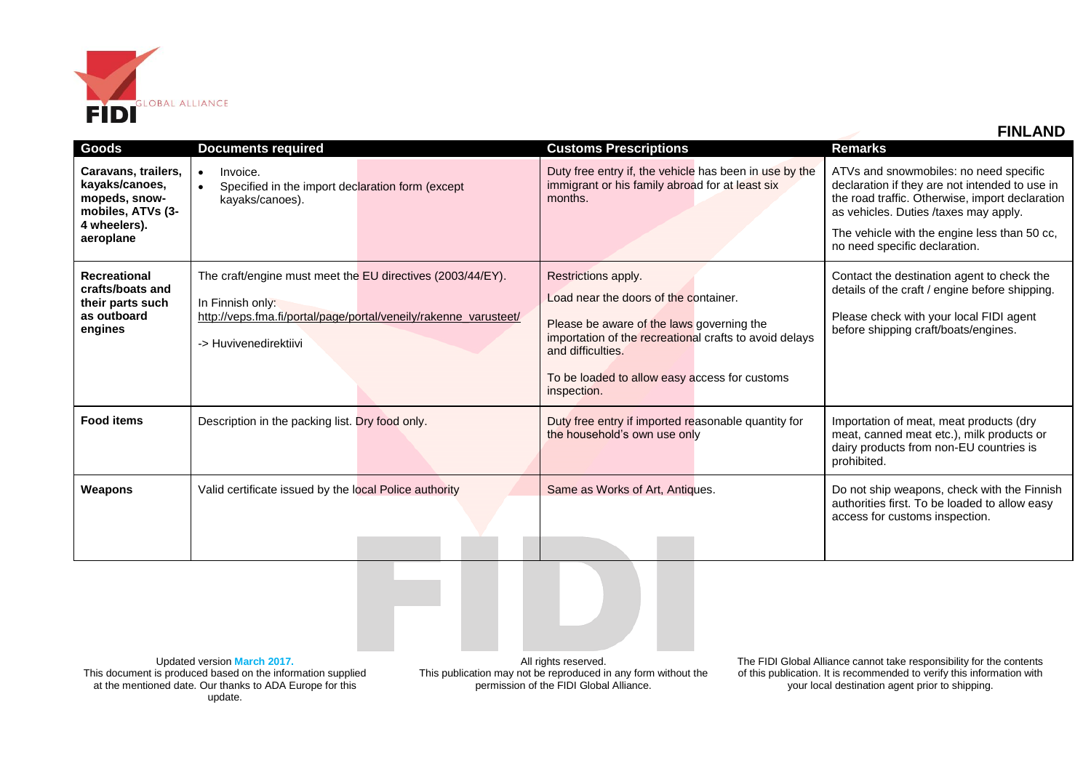

 **FINLAND**

| Goods                                                                                                    | <b>Documents required</b>                                                                                                                                                   | <b>Customs Prescriptions</b>                                                                                                                                                                                                                             | Remarks                                                                                                                                                                                                                                                               |
|----------------------------------------------------------------------------------------------------------|-----------------------------------------------------------------------------------------------------------------------------------------------------------------------------|----------------------------------------------------------------------------------------------------------------------------------------------------------------------------------------------------------------------------------------------------------|-----------------------------------------------------------------------------------------------------------------------------------------------------------------------------------------------------------------------------------------------------------------------|
| Caravans, trailers,<br>kayaks/canoes,<br>mopeds, snow-<br>mobiles, ATVs (3-<br>4 wheelers).<br>aeroplane | Invoice.<br>$\bullet$<br>Specified in the import declaration form (except<br>kayaks/canoes).                                                                                | Duty free entry if, the vehicle has been in use by the<br>immigrant or his family abroad for at least six<br>months.                                                                                                                                     | ATVs and snowmobiles: no need specific<br>declaration if they are not intended to use in<br>the road traffic. Otherwise, import declaration<br>as vehicles. Duties /taxes may apply.<br>The vehicle with the engine less than 50 cc,<br>no need specific declaration. |
| <b>Recreational</b><br>crafts/boats and<br>their parts such<br>as outboard<br>engines                    | The craft/engine must meet the EU directives (2003/44/EY).<br>In Finnish only:<br>http://veps.fma.fi/portal/page/portal/veneily/rakenne_varusteet/<br>-> Huvivenedirektiivi | Restrictions apply.<br>Load near the doors of the container.<br>Please be aware of the laws governing the<br>importation of the recreational crafts to avoid delays<br>and difficulties.<br>To be loaded to allow easy access for customs<br>inspection. | Contact the destination agent to check the<br>details of the craft / engine before shipping.<br>Please check with your local FIDI agent<br>before shipping craft/boats/engines.                                                                                       |
| <b>Food items</b>                                                                                        | Description in the packing list. Dry food only.                                                                                                                             | Duty free entry if imported reasonable quantity for<br>the household's own use only                                                                                                                                                                      | Importation of meat, meat products (dry<br>meat, canned meat etc.), milk products or<br>dairy products from non-EU countries is<br>prohibited.                                                                                                                        |
| Weapons                                                                                                  | Valid certificate issued by the local Police authority                                                                                                                      | Same as Works of Art, Antiques.                                                                                                                                                                                                                          | Do not ship weapons, check with the Finnish<br>authorities first. To be loaded to allow easy<br>access for customs inspection.                                                                                                                                        |

Updated version **March 2017.** This document is produced based on the information supplied at the mentioned date. Our thanks to ADA Europe for this update.

All rights reserved. This publication may not be reproduced in any form without the permission of the FIDI Global Alliance.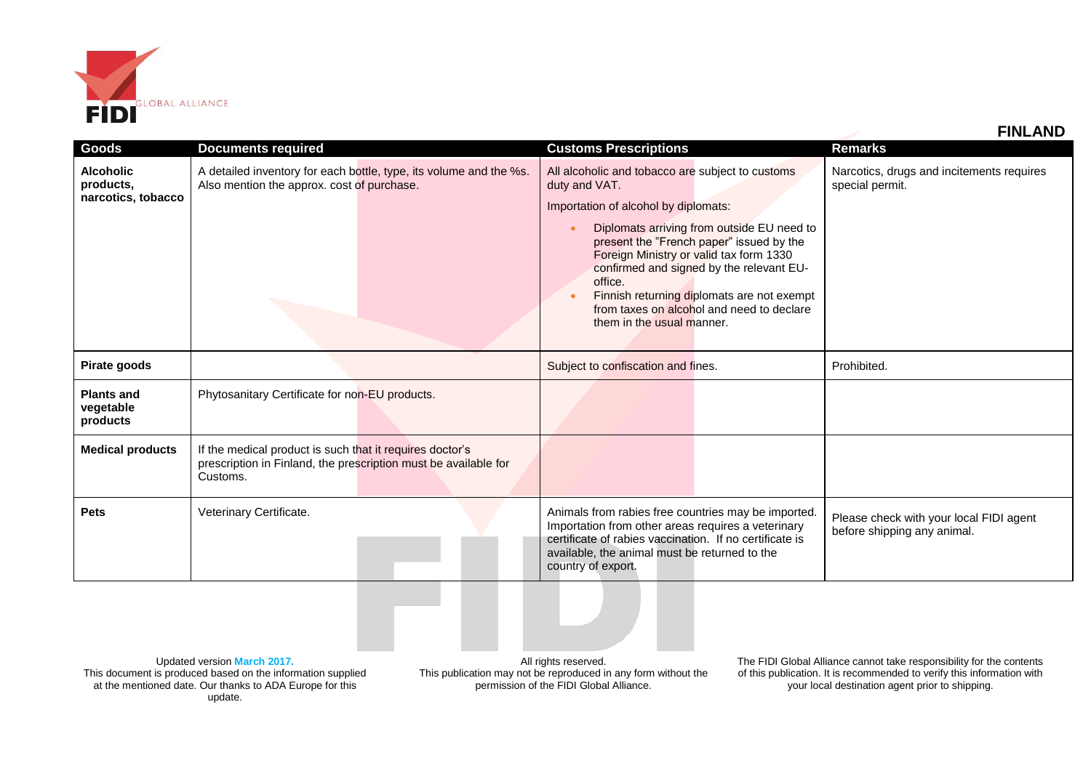

|                                                     |                                                                                                                                         | <b>FINLAND</b>                                                                                                                                                                                                                                                                                                                                                                                                                |                                                                        |
|-----------------------------------------------------|-----------------------------------------------------------------------------------------------------------------------------------------|-------------------------------------------------------------------------------------------------------------------------------------------------------------------------------------------------------------------------------------------------------------------------------------------------------------------------------------------------------------------------------------------------------------------------------|------------------------------------------------------------------------|
| <b>Goods</b>                                        | <b>Documents required</b>                                                                                                               | <b>Customs Prescriptions</b>                                                                                                                                                                                                                                                                                                                                                                                                  | <b>Remarks</b>                                                         |
| <b>Alcoholic</b><br>products,<br>narcotics, tobacco | A detailed inventory for each bottle, type, its volume and the %s.<br>Also mention the approx. cost of purchase.                        | All alcoholic and tobacco are subject to customs<br>duty and VAT.<br>Importation of alcohol by diplomats:<br>Diplomats arriving from outside EU need to<br>present the "French paper" issued by the<br>Foreign Ministry or valid tax form 1330<br>confirmed and signed by the relevant EU-<br>office.<br>Finnish returning diplomats are not exempt<br>from taxes on alcohol and need to declare<br>them in the usual manner. | Narcotics, drugs and incitements requires<br>special permit.           |
| Pirate goods                                        |                                                                                                                                         | Subject to confiscation and fines.                                                                                                                                                                                                                                                                                                                                                                                            | Prohibited.                                                            |
| <b>Plants and</b><br>vegetable<br>products          | Phytosanitary Certificate for non-EU products.                                                                                          |                                                                                                                                                                                                                                                                                                                                                                                                                               |                                                                        |
| <b>Medical products</b>                             | If the medical product is such that it requires doctor's<br>prescription in Finland, the prescription must be available for<br>Customs. |                                                                                                                                                                                                                                                                                                                                                                                                                               |                                                                        |
| <b>Pets</b>                                         | Veterinary Certificate.                                                                                                                 | Animals from rabies free countries may be imported.<br>Importation from other areas requires a veterinary<br>certificate of rabies vaccination. If no certificate is<br>available, the animal must be returned to the<br>country of export.                                                                                                                                                                                   | Please check with your local FIDI agent<br>before shipping any animal. |
|                                                     |                                                                                                                                         |                                                                                                                                                                                                                                                                                                                                                                                                                               |                                                                        |

Updated version **March 2017.** This document is produced based on the information supplied at the mentioned date. Our thanks to ADA Europe for this update.

All rights reserved. This publication may not be reproduced in any form without the permission of the FIDI Global Alliance.